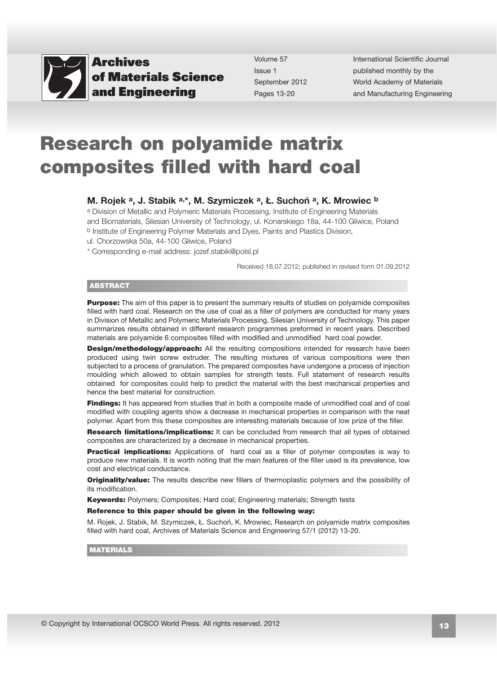

Volume 57 Issue 1 September 2012 Pages 13-20

International Scientific Journal published monthly by the World Academy of Materials [and Manufacturing Engineering](http://www.archivesmse.org) 

# Research on polyamide matrix composites filled with hard coal

#### M. Rojek a, J. Stabik a,\*, M. Szymiczek a, Ł. Suchoń a, K. Mrowiec b

a Division of Metallic and Polymeric Materials Processing, Institute of Engineering Materials and Biomaterials, Silesian University of Technology, ul. Konarskiego 18a, 44-100 Gliwice, Poland b Institute of Engineering Polymer Materials and Dyes, Paints and Plastics Division,

ul. Chorzowska 50a, 44-100 Gliwice, Poland

\* Corresponding e-mail address: jozef.stabik@polsl.pl

Received 18.07.2012; published in revised form 01.09.2012

#### **ABSTRACT**

**Purpose:** The aim of this paper is to present the summary results of studies on polyamide composites filled with hard coal. Research on the use of coal as a filler of polymers are conducted for many years in Division of Metallic and Polymeric Materials Processing, Silesian University of Technology. This paper summarizes results obtained in different research programmes preformed in recent years. Described materials are polyamide 6 composites filled with modified and unmodified hard coal powder.

**Design/methodology/approach:** All the resulting compositions intended for research have been produced using twin screw extruder. The resulting mixtures of various compositions were then subjected to a process of granulation. The prepared composites have undergone a process of injection moulding which allowed to obtain samples for strength tests. Full statement of research results obtained for composites could help to predict the material with the best mechanical properties and hence the best material for construction.

Findings: It has appeared from studies that in both a composite made of unmodified coal and of coal modified with coupling agents show a decrease in mechanical properties in comparison with the neat polymer. Apart from this these composites are interesting materials because of low prize of the filler.

Research limitations/implications: It can be concluded from research that all types of obtained composites are characterized by a decrease in mechanical properties.

**Practical implications:** Applications of hard coal as a filler of polymer composites is way to produce new materials. It is worth noting that the main features of the filler used is its prevalence, low cost and electrical conductance.

**Originality/value:** The results describe new fillers of thermoplastic polymers and the possibility of its modification.

Keywords: Polymers; Composites; Hard coal; Engineering materials; Strength tests

#### Reference to this paper should be given in the following way:

M. Rojek, J. Stabik, M. Szymiczek, Ł. Suchoń, K. Mrowiec, Research on polyamide matrix composites filled with hard coal, Archives of Materials Science and Engineering 57/1 (2012) 13-20.

MATERIALS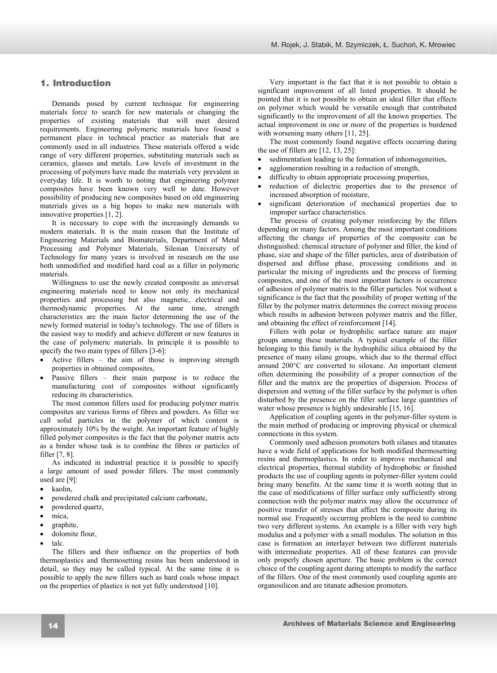# **1. Introduction**  1. Introduction

Demands posed by current technique for engineering materials force to search for new materials or changing the properties of existing materials that will meet desired requirements. Engineering polymeric materials have found a permanent place in technical practice as materials that are commonly used in all industries. These materials offered a wide range of very different properties, substituting materials such as ceramics, glasses and metals. Low levels of investment in the processing of polymers have made the materials very prevalent in everyday life. It is worth to noting that engineering polymer composites have been known very well to date. However possibility of producing new composites based on old engineering materials gives us a big hopes to make new materials with innovative properties [1, 2].

It is necessary to cope with the increasingly demands to modern materials. It is the main reason that the Institute of Engineering Materials and Biomaterials, Department of Metal Processing and Polymer Materials, Silesian University of Technology for many years is involved in research on the use both unmodified and modified hard coal as a filler in polymeric materials.

Willingness to use the newly created composite as universal engineering materials need to know not only its mechanical properties and processing but also magnetic, electrical and thermodynamic properties. At the same time, strength characteristics are the main factor determining the use of the newly formed material in today's technology. The use of fillers is the easiest way to modify and achieve different or new features in the case of polymeric materials. In principle it is possible to specify the two main types of fillers [3-6]:

- Active fillers the aim of those is improving strength properties in obtained composites,
- Passive fillers their main purpose is to reduce the manufacturing cost of composites without significantly reducing its characteristics.

The most common fillers used for producing polymer matrix composites are various forms of fibres and powders. As filler we call solid particles in the polymer of which content is approximately 10% by the weight. An important feature of highly filled polymer composites is the fact that the polymer matrix acts as a binder whose task is to combine the fibres or particles of filler [7, 8].

As indicated in industrial practice it is possible to specify a large amount of used powder fillers. The most commonly used are [9]:

- kaolin.
- powdered chalk and precipitated calcium carbonate,
- powdered quartz,
- mica,
- graphite,
- dolomite flour,
- talc.

The fillers and their influence on the properties of both thermoplastics and thermosetting resins has been understood in detail, so they may be called typical. At the same time it is possible to apply the new fillers such as hard coals whose impact on the properties of plastics is not yet fully understood [10].

Very important is the fact that it is not possible to obtain a significant improvement of all listed properties. It should be pointed that it is not possible to obtain an ideal filler that effects on polymer which would be versatile enough that contributed significantly to the improvement of all the known properties. The actual improvement in one or more of the properties is burdened with worsening many others [11, 25].

The most commonly found negative effects occurring during the use of fillers are [12, 13, 25]:

- sedimentation leading to the formation of inhomogeneities,
- agglomeration resulting in a reduction of strength,
- difficulty to obtain appropriate processing properties,
- reduction of dielectric properties due to the presence of increased absorption of moisture,
- significant deterioration of mechanical properties due to improper surface characteristics.

The process of creating polymer reinforcing by the fillers depending on many factors. Among the most important conditions affecting the change of properties of the composite can be distinguished: chemical structure of polymer and filler, the kind of phase, size and shape of the filler particles, area of distribution of dispersed and diffuse phase, processing conditions and in particular the mixing of ingredients and the process of forming composites, and one of the most important factors is occurrence of adhesion of polymer matrix to the filler particles. Not without a significance is the fact that the possibility of proper wetting of the filler by the polymer matrix determines the correct mixing process which results in adhesion between polymer matrix and the filler, and obtaining the effect of reinforcement [14].

Fillers with polar or hydrophilic surface nature are major groups among these materials. A typical example of the filler belonging to this family is the hydrophilic silica obtained by the presence of many silane groups, which due to the thermal effect around 200°C are converted to siloxane. An important element often determining the possibility of a proper connection of the filler and the matrix are the properties of dispersion. Process of dispersion and wetting of the filler surface by the polymer is often disturbed by the presence on the filler surface large quantities of water whose presence is highly undesirable [15, 16].

Application of coupling agents in the polymer-filler system is the main method of producing or improving physical or chemical connections in this system.

Commonly used adhesion promoters both silanes and titanates have a wide field of applications for both modified thermosetting resins and thermoplastics. In order to improve mechanical and electrical properties, thermal stability of hydrophobic or finished products the use of coupling agents in polymer-filler system could bring many benefits. At the same time it is worth noting that in the case of modifications of filler surface only sufficiently strong connection with the polymer matrix may allow the occurrence of positive transfer of stresses that affect the composite during its normal use. Frequently occurring problem is the need to combine two very different systems. An example is a filler with very high modulus and a polymer with a small modulus. The solution in this case is formation an interlayer between two different materials with intermediate properties. All of these features can provide only properly chosen aperture. The basic problem is the correct choice of the coupling agent during attempts to modify the surface of the fillers. One of the most commonly used coupling agents are organosilicon and are titanate adhesion promoters.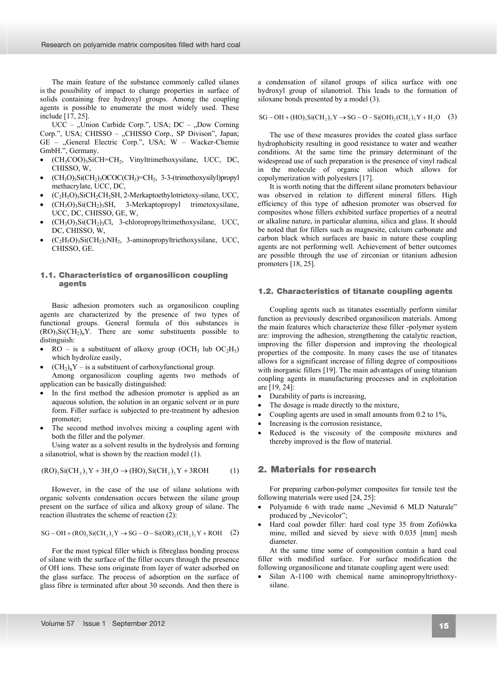The main feature of the substance commonly called silanes is the possibility of impact to change properties in surface of solids containing free hydroxyl groups. Among the coupling agents is possible to enumerate the most widely used. These include [17, 25].

 $UCC$  – "Union Carbide Corp.", USA; DC – "Dow Corning Corp.", USA; CHISSO – "CHISSO Corp., SP Divison", Japan; GE – "General Electric Corp.", USA; W – Wacker-Chemie GmbH.", Germany.

- x (CH3COO)3SiCH=CH2, Vinyltrimethoxysilane, UCC, DC, CHISSO, W,
- $(CH<sub>3</sub>O)<sub>3</sub>Si(CH<sub>2</sub>)<sub>3</sub>OCOC(CH<sub>3</sub>)=CH<sub>2</sub>, 3-3-(trimethoxysilyl)propyl$ methacrylate, UCC, DC,
- $(C<sub>2</sub>H<sub>5</sub>O)<sub>3</sub>SiCH<sub>2</sub>CH<sub>2</sub>SH<sub>2</sub>$ -Merkaptoethylotrietoxy-silane, UCC,
- $(CH_3O)_3Si(CH_2)_3SH$ , 3-Merkaptopropyl trimetoxysilane, UCC, DC, CHISSO, GE, W,
- $(CH<sub>3</sub>O)<sub>3</sub>Si(CH<sub>2</sub>)<sub>3</sub>Cl$ , 3-chloropropyltrimethoxysilane, UCC, DC, CHISSO, W,
- $(C_2H_5O)$ <sub>3</sub>Si(CH<sub>2</sub>)<sub>3</sub>NH<sub>2</sub>, 3-aminopropyltriethoxysilane, UCC, CHISSO, GE.

### **1.1. Characteristics of organosilicon coupling**  1.1. Characteristics of organosilicon coupling **agents**  agents

Basic adhesion promoters such as organosilicon coupling agents are characterized by the presence of two types of functional groups. General formula of this substances is  $(RO)$ <sub>3</sub>Si $(CH<sub>2</sub>)$ <sub>n</sub>Y. There are some substituents possible to distinguish:

- $RO -$  is a substituent of alkoxy group (OCH<sub>3</sub> lub OC<sub>2</sub>H<sub>5</sub>) which hydrolize easily,
- $(CH<sub>2</sub>)<sub>n</sub>Y -$  is a substituent of carboxyfunctional group.

Among organosilicon coupling agents two methods of application can be basically distinguished:

- In the first method the adhesion promoter is applied as an aqueous solution, the solution in an organic solvent or in pure form. Filler surface is subjected to pre-treatment by adhesion promoter;
- The second method involves mixing a coupling agent with both the filler and the polymer.

Using water as a solvent results in the hydrolysis and forming a silanotriol, what is shown by the reaction model (1).

$$
(RO)_3Si(CH_2)_3Y + 3H_2O \to (HO)_3Si(CH_2)_3Y + 3ROH \tag{1}
$$

However, in the case of the use of silane solutions with organic solvents condensation occurs between the silane group present on the surface of silica and alkoxy group of silane. The reaction illustrates the scheme of reaction (2):

$$
SG - OH + (RO)_3Si(CH_2)_3Y \to SG - O - Si(OR)_2(CH_2)_3Y + ROH \quad (2)
$$

For the most typical filler which is fibreglass bonding process of silane with the surface of the filler occurs through the presence of OH ions. These ions originate from layer of water adsorbed on the glass surface. The process of adsorption on the surface of glass fibre is terminated after about 30 seconds. And then there is

a condensation of silanol groups of silica surface with one hydroxyl group of silanotriol. This leads to the formation of siloxane bonds presented by a model (3).

 $SG - OH + (HO), Si(CH_2), Y \rightarrow SG - O - Si(OH), (CH_2), Y + H_2O$  (3)

The use of these measures provides the coated glass surface hydrophobicity resulting in good resistance to water and weather conditions. At the same time the primary determinant of the widespread use of such preparation is the presence of vinyl radical in the molecule of organic silicon which allows for copolymerization with polyesters [17].

It is worth noting that the different silane promoters behaviour was observed in relation to different mineral fillers. High efficiency of this type of adhesion promoter was observed for composites whose fillers exhibited surface properties of a neutral or alkaline nature, in particular alumina, silica and glass. It should be noted that for fillers such as magnesite, calcium carbonate and carbon black which surfaces are basic in nature these coupling agents are not performing well. Achievement of better outcomes are possible through the use of zirconian or titanium adhesion promoters [18, 25].

#### **1.2. Characteristics of titanate coupling agents**  1.2. Characteristics of titanate coupling agents

Coupling agents such as titanates essentially perform similar function as previously described organosilicon materials. Among the main features which characterize these filler -polymer system are: improving the adhesion, strengthening the catalytic reaction, improving the filler dispersion and improving the rheological properties of the composite. In many cases the use of titanates allows for a significant increase of filling degree of compositions with inorganic fillers [19]. The main advantages of using titanium coupling agents in manufacturing processes and in exploitation are [19, 24]:

- $\bullet$  Durability of parts is increasing,
- The dosage is made directly to the mixture,
- Coupling agents are used in small amounts from  $0.2$  to  $1\%$ ,
- Increasing is the corrosion resistance,
- Reduced is the viscosity of the composite mixtures and thereby improved is the flow of material.

### **2. Materials for research**  2. Materials for research

For preparing carbon-polymer composites for tensile test the following materials were used [24, 25]:

- Polyamide 6 with trade name "Nevimid 6 MLD Naturale" produced by "Nevicolor";
- x Hard coal powder filler: hard coal type 35 from Zofiówka mine, milled and sieved by sieve with 0.035 [mm] mesh diameter.

At the same time some of composition contain a hard coal filler with modified surface. For surface modification the following organosilicone and titanate coupling agent were used:

Silan A-1100 with chemical name aminopropyltriethoxysilane.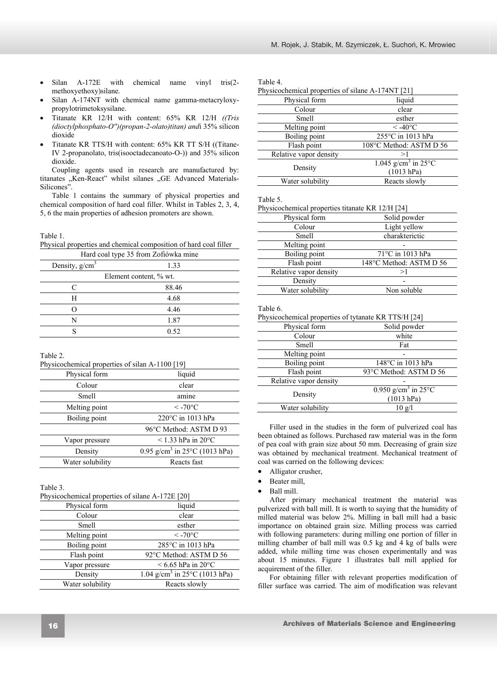- Silan A-172E with chemical name vinyl tris(2methoxyethoxy)silane.
- Silan A-174NT with chemical name gamma-metacryloxypropylotrimetoksysilane.
- x Titanate KR 12/H with content: 65% KR 12/H *((Tris (dioctylphosphato-O'')(propan-2-olato)titan) and*i 35% silicon dioxide
- Titanate KR TTS/H with content: 65% KR TT S/H ((Titane-IV 2-propanolato, tris(isooctadecanoato-O-)) and 35% silicon dioxide.

Coupling agents used in research are manufactured by: titanates "Ken-React" whilst silanes "GE Advanced Materials-Silicones".

Table 1 contains the summary of physical properties and chemical composition of hard coal filler. Whilst in Tables 2, 3, 4, 5, 6 the main properties of adhesion promoters are shown.

Table 1.

Physical properties and chemical composition of hard coal filler

| Hard coal type 35 from Zofiówka mine |  |  |
|--------------------------------------|--|--|
| 1.33                                 |  |  |
| Element content, % wt.               |  |  |
| 88.46                                |  |  |
| 4.68                                 |  |  |
| 4.46                                 |  |  |
| 1.87                                 |  |  |
| 0.52                                 |  |  |
|                                      |  |  |

Table 2.

Physicochemical properties of silan A-1100 [19]

| Physical form    | liquid                                               |
|------------------|------------------------------------------------------|
| Colour           | clear                                                |
| <b>Smell</b>     | amine                                                |
| Melting point    | $\rm <$ -70 $\rm ^{\circ}C$                          |
| Boiling point    | 220°C in 1013 hPa                                    |
|                  | 96°C Method: ASTM D 93                               |
| Vapor pressure   | $<$ 1.33 hPa in 20 $^{\circ}$ C                      |
| Density          | 0.95 g/cm <sup>3</sup> in 25 $^{\circ}$ C (1013 hPa) |
| Water solubility | Reacts fast                                          |
|                  |                                                      |

Table 3.

|  | Physicochemical properties of silane A-172E [20] |  |  |
|--|--------------------------------------------------|--|--|
|--|--------------------------------------------------|--|--|

| Physical form    | liquid                                               |
|------------------|------------------------------------------------------|
| Colour           | clear                                                |
| <b>Smell</b>     | esther                                               |
| Melting point    | $\rm <$ -70 $\rm ^{\circ}C$                          |
| Boiling point    | 285°C in 1013 hPa                                    |
| Flash point      | 92°C Method: ASTM D 56                               |
| Vapor pressure   | $\leq 6.65$ hPa in 20 $^{\circ}$ C                   |
| Density          | 1.04 g/cm <sup>3</sup> in 25 $^{\circ}$ C (1013 hPa) |
| Water solubility | Reacts slowly                                        |

| Table 4.                                          |                                           |  |  |
|---------------------------------------------------|-------------------------------------------|--|--|
| Physicochemical properties of silane A-174NT [21] |                                           |  |  |
| Physical form                                     | liquid                                    |  |  |
| Colour                                            | clear                                     |  |  |
| Smell                                             | esther                                    |  |  |
| Melting point                                     | $< -40$ °C                                |  |  |
| Boiling point                                     | 255°C in 1013 hPa                         |  |  |
| Flash point                                       | 108°C Method: ASTM D 56                   |  |  |
| Relative vapor density                            | >1                                        |  |  |
| Density                                           | 1.045 g/cm <sup>3</sup> in $25^{\circ}$ C |  |  |
|                                                   | (1013 hPa)                                |  |  |
| Water solubility                                  | Reacts slowly                             |  |  |

Table 5.

| Physicochemical properties titanate KR 12/H [24] |                         |
|--------------------------------------------------|-------------------------|
| Physical form                                    | Solid powder            |
| Colour                                           | Light yellow            |
| Smell                                            | charakterictic          |
| Melting point                                    |                         |
| Boiling point                                    | 71°C in 1013 hPa        |
| Flash point                                      | 148°C Method: ASTM D 56 |
| Relative vapor density                           | >1                      |
| Density                                          |                         |
| Water solubility                                 | Non soluble             |

Table 6.

Physicochemical properties of tytanate KR TTS/H [24]

| Physical form          | Solid powder                                            |
|------------------------|---------------------------------------------------------|
| Colour                 | white                                                   |
| Smell                  | Fat                                                     |
| Melting point          |                                                         |
| Boiling point          | 148°C in 1013 hPa                                       |
| Flash point            | 93°C Method: ASTM D 56                                  |
| Relative vapor density |                                                         |
| Density                | 0.950 g/cm <sup>3</sup> in $25^{\circ}$ C<br>(1013 hPa) |
| Water solubility       | $10 \text{ g/l}$                                        |

Filler used in the studies in the form of pulverized coal has been obtained as follows. Purchased raw material was in the form of pea coal with grain size about 50 mm. Decreasing of grain size was obtained by mechanical treatment. Mechanical treatment of coal was carried on the following devices:

- Alligator crusher,
- Beater mill,
- Ball mill.

After primary mechanical treatment the material was pulverized with ball mill. It is worth to saying that the humidity of milled material was below 2%. Milling in ball mill had a basic importance on obtained grain size. Milling process was carried with following parameters: during milling one portion of filler in milling chamber of ball mill was 0.5 kg and 4 kg of balls were added, while milling time was chosen experimentally and was about 15 minutes. Figure 1 illustrates ball mill applied for acquirement of the filler.

For obtaining filler with relevant properties modification of filler surface was carried. The aim of modification was relevant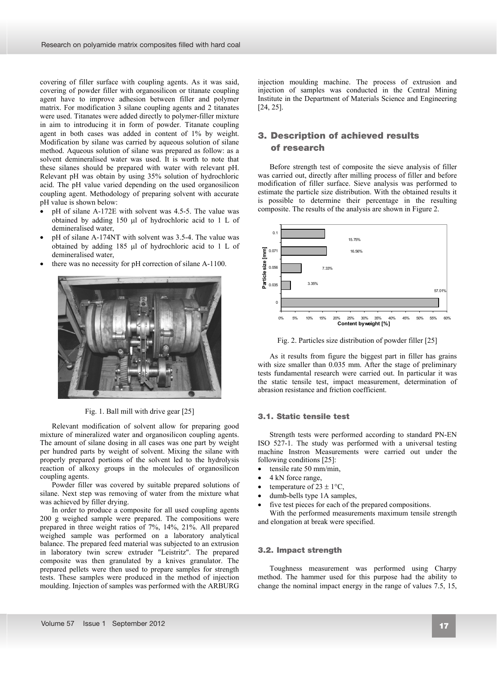covering of filler surface with coupling agents. As it was said, covering of powder filler with organosilicon or titanate coupling agent have to improve adhesion between filler and polymer matrix. For modification 3 silane coupling agents and 2 titanates were used. Titanates were added directly to polymer-filler mixture in aim to introducing it in form of powder. Titanate coupling agent in both cases was added in content of 1% by weight. Modification by silane was carried by aqueous solution of silane method. Aqueous solution of silane was prepared as follow: as a solvent demineralised water was used. It is worth to note that these silanes should be prepared with water with relevant pH. Relevant pH was obtain by using 35% solution of hydrochloric acid. The pH value varied depending on the used organosilicon coupling agent. Methodology of preparing solvent with accurate pH value is shown below:

- pH of silane A-172E with solvent was 4.5-5. The value was obtained by adding  $150$  ul of hydrochloric acid to 1 L of demineralised water,
- pH of silane A-174NT with solvent was 3.5-4. The value was obtained by adding  $185$  µl of hydrochloric acid to 1 L of demineralised water,
- there was no necessity for pH correction of silane A-1100.



Fig. 1. Ball mill with drive gear [25]

Relevant modification of solvent allow for preparing good mixture of mineralized water and organosilicon coupling agents. The amount of silane dosing in all cases was one part by weight per hundred parts by weight of solvent. Mixing the silane with properly prepared portions of the solvent led to the hydrolysis reaction of alkoxy groups in the molecules of organosilicon coupling agents.

Powder filler was covered by suitable prepared solutions of silane. Next step was removing of water from the mixture what was achieved by filler drying.

In order to produce a composite for all used coupling agents 200 g weighed sample were prepared. The compositions were prepared in three weight ratios of 7%, 14%, 21%. All prepared weighed sample was performed on a laboratory analytical balance. The prepared feed material was subjected to an extrusion in laboratory twin screw extruder "Leistritz". The prepared composite was then granulated by a knives granulator. The prepared pellets were then used to prepare samples for strength tests. These samples were produced in the method of injection moulding. Injection of samples was performed with the ARBURG

injection moulding machine. The process of extrusion and injection of samples was conducted in the Central Mining Institute in the Department of Materials Science and Engineering [24, 25].

# **3. Description of achieved results of**  3. Description of achieved results **research**  of research

Before strength test of composite the sieve analysis of filler was carried out, directly after milling process of filler and before modification of filler surface. Sieve analysis was performed to estimate the particle size distribution. With the obtained results it is possible to determine their percentage in the resulting composite. The results of the analysis are shown in Figure 2.



Fig. 2. Particles size distribution of powder filler [25]

As it results from figure the biggest part in filler has grains with size smaller than 0.035 mm. After the stage of preliminary tests fundamental research were carried out. In particular it was the static tensile test, impact measurement, determination of abrasion resistance and friction coefficient.

### **3.1. Static tensile test**  3.1. Static tensile test

Strength tests were performed according to standard PN-EN ISO 527-1. The study was performed with a universal testing machine Instron Measurements were carried out under the following conditions [25]:

- $\bullet$  tensile rate 50 mm/min,
- 4 kN force range,
- temperature of  $23 \pm 1^{\circ}C$ ,
- dumb-bells type 1A samples,
- five test pieces for each of the prepared compositions.

With the performed measurements maximum tensile strength and elongation at break were specified.

#### **3.2. Impact strength** 3.2. Impact strength

Toughness measurement was performed using Charpy method. The hammer used for this purpose had the ability to change the nominal impact energy in the range of values 7.5, 15,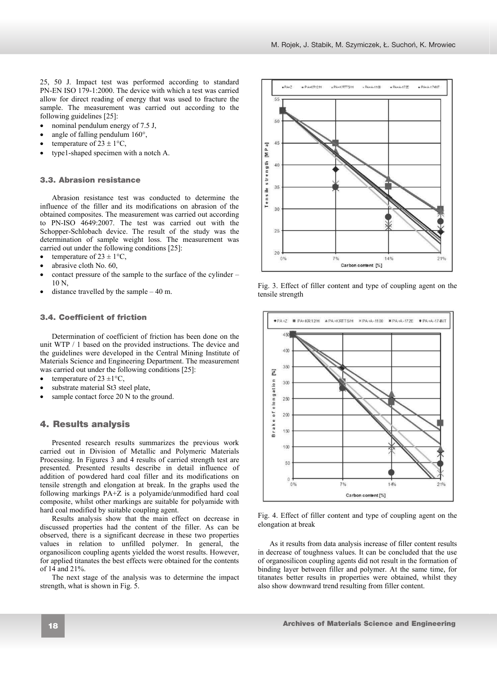25, 50 J. Impact test was performed according to standard PN-EN ISO 179-1:2000. The device with which a test was carried allow for direct reading of energy that was used to fracture the sample. The measurement was carried out according to the following guidelines [25]:

- nominal pendulum energy of 7.5 J,
- angle of falling pendulum  $160^\circ$ ,
- temperature of  $23 \pm 1$ °C,
- type1-shaped specimen with a notch A.

#### **3.3. Abrasion resistance** 3.3. Abrasion resistance

Abrasion resistance test was conducted to determine the influence of the filler and its modifications on abrasion of the obtained composites. The measurement was carried out according to PN-ISO 4649:2007. The test was carried out with the Schopper-Schlobach device. The result of the study was the determination of sample weight loss. The measurement was carried out under the following conditions [25]:

- temperature of  $23 \pm 1$ °C.
- abrasive cloth No. 60,
- contact pressure of the sample to the surface of the cylinder 10 N,
- distance travelled by the sample  $-40$  m.

### **3.4. Coefficient of friction**  3.4. Coefficient of friction

Determination of coefficient of friction has been done on the unit WTP / 1 based on the provided instructions. The device and the guidelines were developed in the Central Mining Institute of Materials Science and Engineering Department. The measurement was carried out under the following conditions [25]:

- temperature of 23  $\pm$ 1°C,
- substrate material St3 steel plate,
- sample contact force 20 N to the ground.

### **4. Results analysis**  4. Results analysis

Presented research results summarizes the previous work carried out in Division of Metallic and Polymeric Materials Processing. In Figures 3 and 4 results of carried strength test are presented. Presented results describe in detail influence of addition of powdered hard coal filler and its modifications on tensile strength and elongation at break. In the graphs used the following markings PA+Z is a polyamide/unmodified hard coal composite, whilst other markings are suitable for polyamide with hard coal modified by suitable coupling agent.

Results analysis show that the main effect on decrease in discussed properties had the content of the filler. As can be observed, there is a significant decrease in these two properties values in relation to unfilled polymer. In general, the organosilicon coupling agents yielded the worst results. However, for applied titanates the best effects were obtained for the contents of 14 and 21%.

The next stage of the analysis was to determine the impact strength, what is shown in Fig. 5.



Fig. 3. Effect of filler content and type of coupling agent on the tensile strength



Fig. 4. Effect of filler content and type of coupling agent on the elongation at break

As it results from data analysis increase of filler content results in decrease of toughness values. It can be concluded that the use of organosilicon coupling agents did not result in the formation of binding layer between filler and polymer. At the same time, for titanates better results in properties were obtained, whilst they also show downward trend resulting from filler content.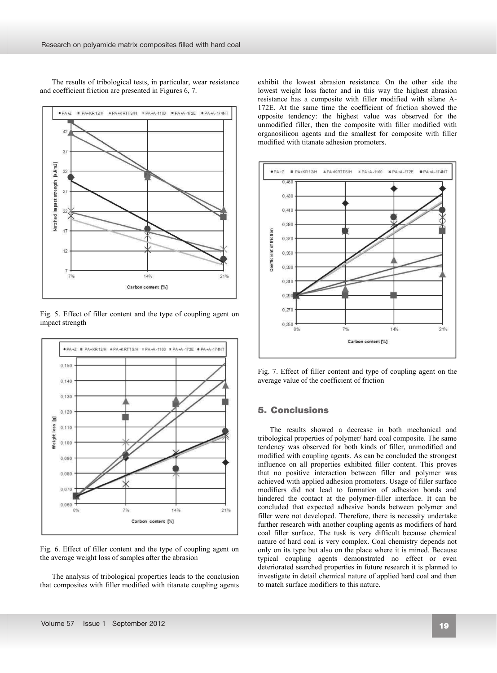The results of tribological tests, in particular, wear resistance and coefficient friction are presented in Figures 6, 7.



Fig. 5. Effect of filler content and the type of coupling agent on impact strength



Fig. 6. Effect of filler content and the type of coupling agent on the average weight loss of samples after the abrasion

The analysis of tribological properties leads to the conclusion that composites with filler modified with titanate coupling agents exhibit the lowest abrasion resistance. On the other side the lowest weight loss factor and in this way the highest abrasion resistance has a composite with filler modified with silane A-172E. At the same time the coefficient of friction showed the opposite tendency: the highest value was observed for the unmodified filler, then the composite with filler modified with organosilicon agents and the smallest for composite with filler modified with titanate adhesion promoters.



Fig. 7. Effect of filler content and type of coupling agent on the average value of the coefficient of friction

### **5. Conclusions** 5. Conclusions

The results showed a decrease in both mechanical and tribological properties of polymer/ hard coal composite. The same tendency was observed for both kinds of filler, unmodified and modified with coupling agents. As can be concluded the strongest influence on all properties exhibited filler content. This proves that no positive interaction between filler and polymer was achieved with applied adhesion promoters. Usage of filler surface modifiers did not lead to formation of adhesion bonds and hindered the contact at the polymer-filler interface. It can be concluded that expected adhesive bonds between polymer and filler were not developed. Therefore, there is necessity undertake further research with another coupling agents as modifiers of hard coal filler surface. The tusk is very difficult because chemical nature of hard coal is very complex. Coal chemistry depends not only on its type but also on the place where it is mined. Because typical coupling agents demonstrated no effect or even deteriorated searched properties in future research it is planned to investigate in detail chemical nature of applied hard coal and then to match surface modifiers to this nature.